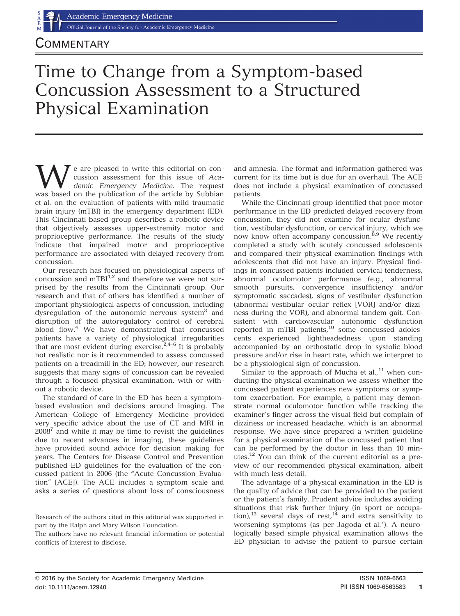Official Journal of the Society for Academic Emergency Medicine

## $\mathsf{\dot{L}OMMENTARY}$

# Time to Change from a Symptom-based Concussion Assessment to a Structured Physical Examination

e are pleased to write this editorial on concussion assessment for this issue of Academic Emergency Medicine. The request was based on the publication of the article by Subbian et al. on the evaluation of patients with mild traumatic brain injury (mTBI) in the emergency department (ED). This Cincinnati-based group describes a robotic device that objectively assesses upper-extremity motor and proprioceptive performance. The results of the study indicate that impaired motor and proprioceptive performance are associated with delayed recovery from concussion.

Our research has focused on physiological aspects of concussion and  $mTBI^{1,2}$  and therefore we were not surprised by the results from the Cincinnati group. Our research and that of others has identified a number of important physiological aspects of concussion, including dysregulation of the autonomic nervous system<sup>3</sup> and disruption of the autoregulatory control of cerebral blood flow.<sup>4</sup> We have demonstrated that concussed patients have a variety of physiological irregularities that are most evident during exercise.<sup>2,4-6</sup> It is probably not realistic nor is it recommended to assess concussed patients on a treadmill in the ED; however, our research suggests that many signs of concussion can be revealed through a focused physical examination, with or without a robotic device.

The standard of care in the ED has been a symptombased evaluation and decisions around imaging. The American College of Emergency Medicine provided very specific advice about the use of CT and MRI in  $2008<sup>7</sup>$  and while it may be time to revisit the guidelines due to recent advances in imaging, these guidelines have provided sound advice for decision making for years. The Centers for Disease Control and Prevention published ED guidelines for the evaluation of the concussed patient in 2006 (the "Acute Concussion Evaluation" [ACE]). The ACE includes a symptom scale and asks a series of questions about loss of consciousness and amnesia. The format and information gathered was current for its time but is due for an overhaul. The ACE does not include a physical examination of concussed patients.

While the Cincinnati group identified that poor motor performance in the ED predicted delayed recovery from concussion, they did not examine for ocular dysfunction, vestibular dysfunction, or cervical injury, which we now know often accompany concussion.<sup>8,9</sup> We recently completed a study with acutely concussed adolescents and compared their physical examination findings with adolescents that did not have an injury. Physical findings in concussed patients included cervical tenderness, abnormal oculomotor performance (e.g., abnormal smooth pursuits, convergence insufficiency and/or symptomatic saccades), signs of vestibular dysfunction (abnormal vestibular ocular reflex [VOR] and/or dizziness during the VOR), and abnormal tandem gait. Consistent with cardiovascular autonomic dysfunction reported in mTBI patients,<sup>10</sup> some concussed adolescents experienced lightheadedness upon standing accompanied by an orthostatic drop in systolic blood pressure and/or rise in heart rate, which we interpret to be a physiological sign of concussion.

Similar to the approach of Mucha et  $al$ ,  $11$  when conducting the physical examination we assess whether the concussed patient experiences new symptoms or symptom exacerbation. For example, a patient may demonstrate normal oculomotor function while tracking the examiner's finger across the visual field but complain of dizziness or increased headache, which is an abnormal response. We have since prepared a written guideline for a physical examination of the concussed patient that can be performed by the doctor in less than 10 minutes.12 You can think of the current editorial as a preview of our recommended physical examination, albeit with much less detail.

The advantage of a physical examination in the ED is the quality of advice that can be provided to the patient or the patient's family. Prudent advice includes avoiding situations that risk further injury (in sport or occupation),<sup>13</sup> several days of rest,<sup>14</sup> and extra sensitivity to worsening symptoms (as per Jagoda et al.<sup>7</sup>). A neurologically based simple physical examination allows the ED physician to advise the patient to pursue certain

Research of the authors cited in this editorial was supported in part by the Ralph and Mary Wilson Foundation.

The authors have no relevant financial information or potential conflicts of interest to disclose.